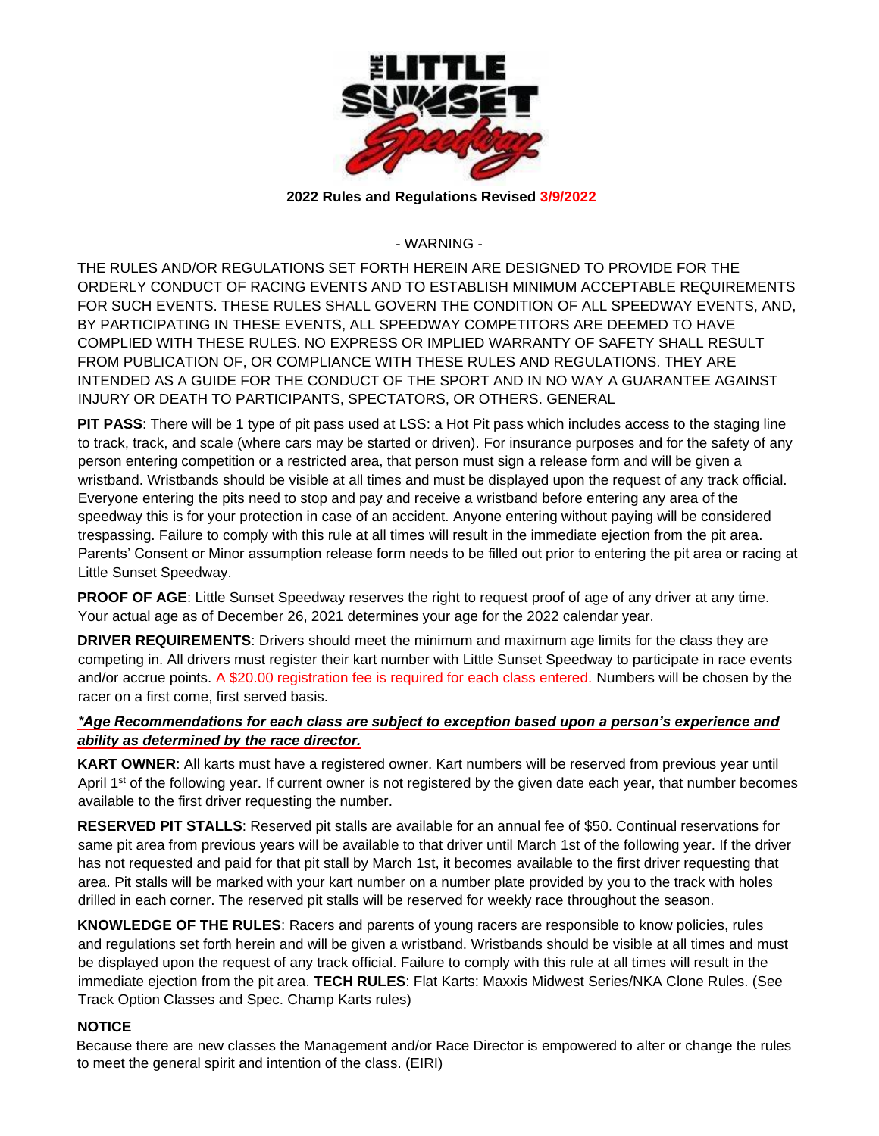

## **2022 Rules and Regulations Revised 3/9/2022**

- WARNING -

THE RULES AND/OR REGULATIONS SET FORTH HEREIN ARE DESIGNED TO PROVIDE FOR THE ORDERLY CONDUCT OF RACING EVENTS AND TO ESTABLISH MINIMUM ACCEPTABLE REQUIREMENTS FOR SUCH EVENTS. THESE RULES SHALL GOVERN THE CONDITION OF ALL SPEEDWAY EVENTS, AND, BY PARTICIPATING IN THESE EVENTS, ALL SPEEDWAY COMPETITORS ARE DEEMED TO HAVE COMPLIED WITH THESE RULES. NO EXPRESS OR IMPLIED WARRANTY OF SAFETY SHALL RESULT FROM PUBLICATION OF, OR COMPLIANCE WITH THESE RULES AND REGULATIONS. THEY ARE INTENDED AS A GUIDE FOR THE CONDUCT OF THE SPORT AND IN NO WAY A GUARANTEE AGAINST INJURY OR DEATH TO PARTICIPANTS, SPECTATORS, OR OTHERS. GENERAL

**PIT PASS**: There will be 1 type of pit pass used at LSS: a Hot Pit pass which includes access to the staging line to track, track, and scale (where cars may be started or driven). For insurance purposes and for the safety of any person entering competition or a restricted area, that person must sign a release form and will be given a wristband. Wristbands should be visible at all times and must be displayed upon the request of any track official. Everyone entering the pits need to stop and pay and receive a wristband before entering any area of the speedway this is for your protection in case of an accident. Anyone entering without paying will be considered trespassing. Failure to comply with this rule at all times will result in the immediate ejection from the pit area. Parents' Consent or Minor assumption release form needs to be filled out prior to entering the pit area or racing at Little Sunset Speedway.

**PROOF OF AGE:** Little Sunset Speedway reserves the right to request proof of age of any driver at any time. Your actual age as of December 26, 2021 determines your age for the 2022 calendar year.

**DRIVER REQUIREMENTS**: Drivers should meet the minimum and maximum age limits for the class they are competing in. All drivers must register their kart number with Little Sunset Speedway to participate in race events and/or accrue points. A \$20.00 registration fee is required for each class entered. Numbers will be chosen by the racer on a first come, first served basis.

## *\*Age Recommendations for each class are subject to exception based upon a person's experience and ability as determined by the race director.*

**KART OWNER**: All karts must have a registered owner. Kart numbers will be reserved from previous year until April 1<sup>st</sup> of the following year. If current owner is not registered by the given date each year, that number becomes available to the first driver requesting the number.

**RESERVED PIT STALLS**: Reserved pit stalls are available for an annual fee of \$50. Continual reservations for same pit area from previous years will be available to that driver until March 1st of the following year. If the driver has not requested and paid for that pit stall by March 1st, it becomes available to the first driver requesting that area. Pit stalls will be marked with your kart number on a number plate provided by you to the track with holes drilled in each corner. The reserved pit stalls will be reserved for weekly race throughout the season.

**KNOWLEDGE OF THE RULES**: Racers and parents of young racers are responsible to know policies, rules and regulations set forth herein and will be given a wristband. Wristbands should be visible at all times and must be displayed upon the request of any track official. Failure to comply with this rule at all times will result in the immediate ejection from the pit area. **TECH RULES**: Flat Karts: Maxxis Midwest Series/NKA Clone Rules. (See Track Option Classes and Spec. Champ Karts rules)

## **NOTICE**

Because there are new classes the Management and/or Race Director is empowered to alter or change the rules to meet the general spirit and intention of the class. (EIRI)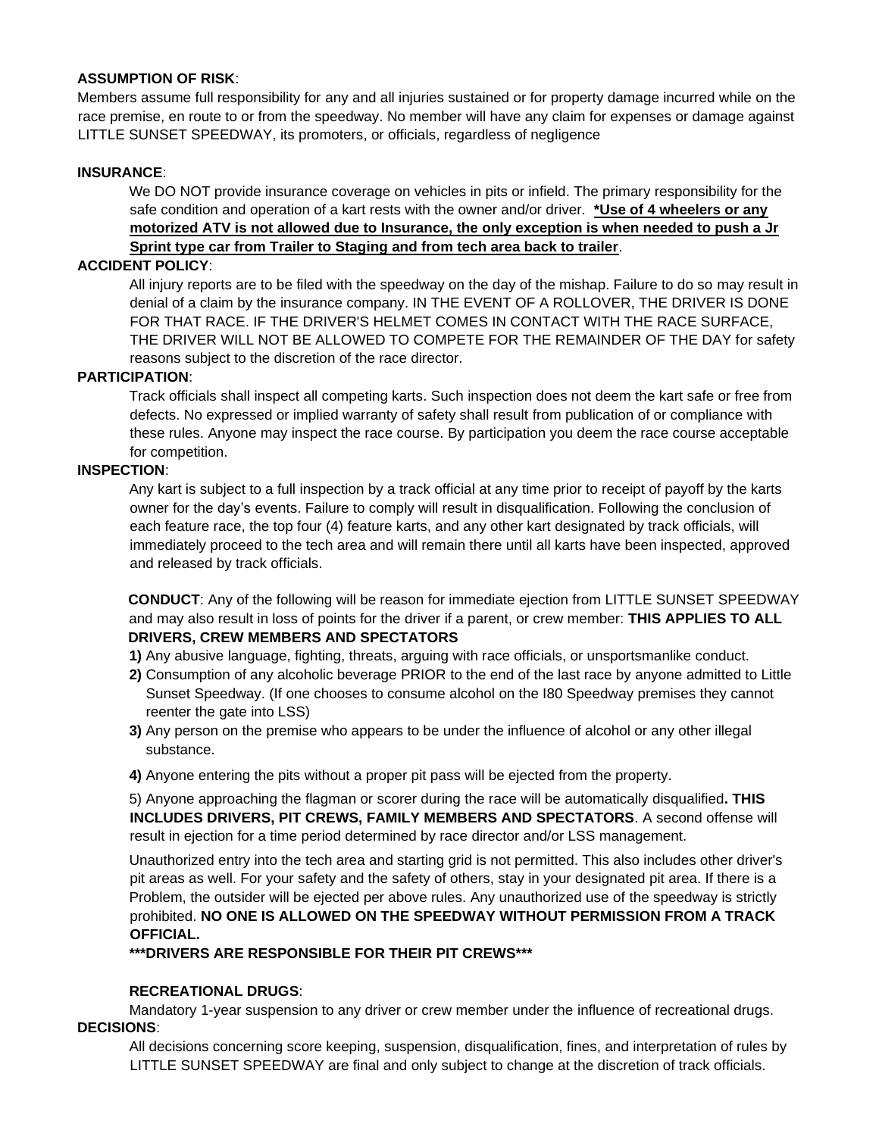## **ASSUMPTION OF RISK**:

Members assume full responsibility for any and all injuries sustained or for property damage incurred while on the race premise, en route to or from the speedway. No member will have any claim for expenses or damage against LITTLE SUNSET SPEEDWAY, its promoters, or officials, regardless of negligence

## **INSURANCE**:

We DO NOT provide insurance coverage on vehicles in pits or infield. The primary responsibility for the safe condition and operation of a kart rests with the owner and/or driver. **\*Use of 4 wheelers or any motorized ATV is not allowed due to Insurance, the only exception is when needed to push a Jr Sprint type car from Trailer to Staging and from tech area back to trailer**.

#### **ACCIDENT POLICY**:

All injury reports are to be filed with the speedway on the day of the mishap. Failure to do so may result in denial of a claim by the insurance company. IN THE EVENT OF A ROLLOVER, THE DRIVER IS DONE FOR THAT RACE. IF THE DRIVER'S HELMET COMES IN CONTACT WITH THE RACE SURFACE, THE DRIVER WILL NOT BE ALLOWED TO COMPETE FOR THE REMAINDER OF THE DAY for safety reasons subject to the discretion of the race director.

## **PARTICIPATION**:

Track officials shall inspect all competing karts. Such inspection does not deem the kart safe or free from defects. No expressed or implied warranty of safety shall result from publication of or compliance with these rules. Anyone may inspect the race course. By participation you deem the race course acceptable for competition.

#### **INSPECTION**:

Any kart is subject to a full inspection by a track official at any time prior to receipt of payoff by the karts owner for the day's events. Failure to comply will result in disqualification. Following the conclusion of each feature race, the top four (4) feature karts, and any other kart designated by track officials, will immediately proceed to the tech area and will remain there until all karts have been inspected, approved and released by track officials.

**CONDUCT**: Any of the following will be reason for immediate ejection from LITTLE SUNSET SPEEDWAY and may also result in loss of points for the driver if a parent, or crew member: **THIS APPLIES TO ALL DRIVERS, CREW MEMBERS AND SPECTATORS** 

**1)** Any abusive language, fighting, threats, arguing with race officials, or unsportsmanlike conduct.

- **2)** Consumption of any alcoholic beverage PRIOR to the end of the last race by anyone admitted to Little Sunset Speedway. (If one chooses to consume alcohol on the I80 Speedway premises they cannot reenter the gate into LSS)
- **3)** Any person on the premise who appears to be under the influence of alcohol or any other illegal substance.
- **4)** Anyone entering the pits without a proper pit pass will be ejected from the property.

5) Anyone approaching the flagman or scorer during the race will be automatically disqualified**. THIS INCLUDES DRIVERS, PIT CREWS, FAMILY MEMBERS AND SPECTATORS**. A second offense will result in ejection for a time period determined by race director and/or LSS management.

Unauthorized entry into the tech area and starting grid is not permitted. This also includes other driver's pit areas as well. For your safety and the safety of others, stay in your designated pit area. If there is a Problem, the outsider will be ejected per above rules. Any unauthorized use of the speedway is strictly prohibited. **NO ONE IS ALLOWED ON THE SPEEDWAY WITHOUT PERMISSION FROM A TRACK OFFICIAL.** 

**\*\*\*DRIVERS ARE RESPONSIBLE FOR THEIR PIT CREWS\*\*\*** 

## **RECREATIONAL DRUGS**:

Mandatory 1-year suspension to any driver or crew member under the influence of recreational drugs. **DECISIONS**:

All decisions concerning score keeping, suspension, disqualification, fines, and interpretation of rules by LITTLE SUNSET SPEEDWAY are final and only subject to change at the discretion of track officials.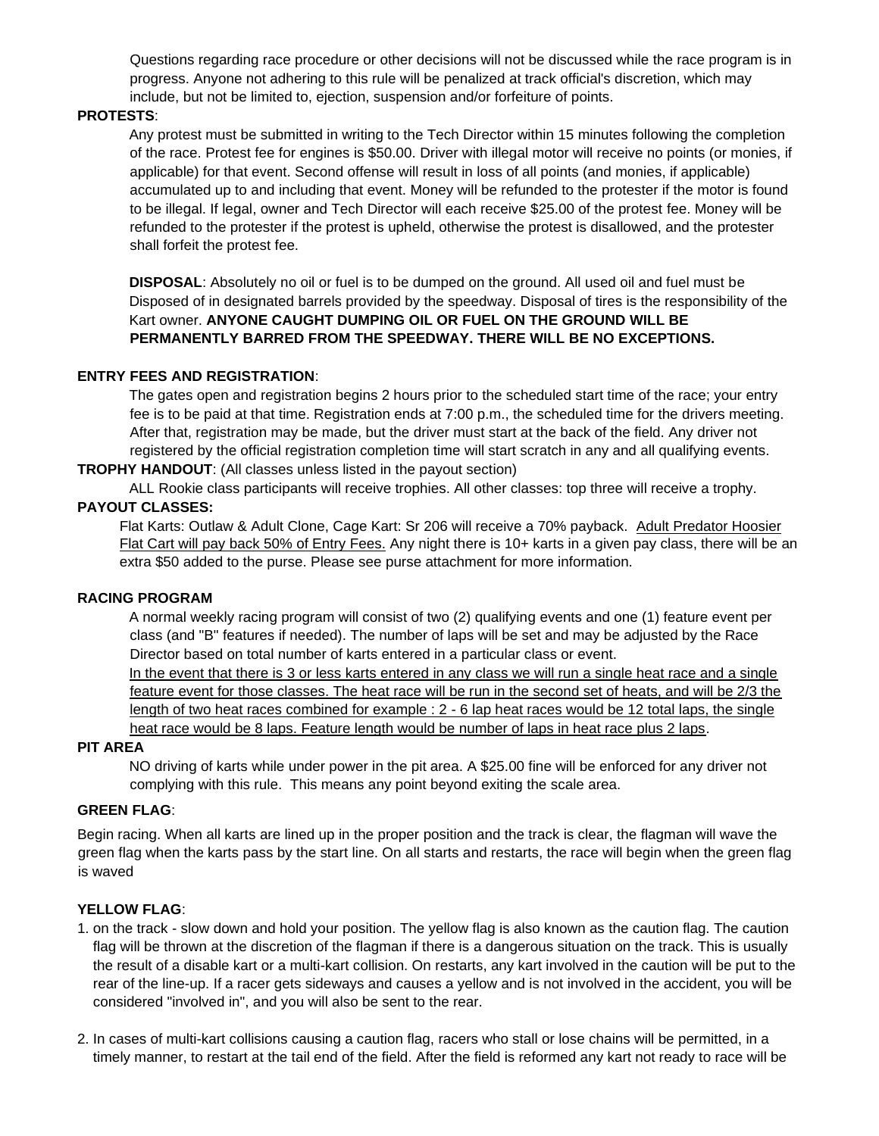Questions regarding race procedure or other decisions will not be discussed while the race program is in progress. Anyone not adhering to this rule will be penalized at track official's discretion, which may include, but not be limited to, ejection, suspension and/or forfeiture of points.

#### **PROTESTS**:

Any protest must be submitted in writing to the Tech Director within 15 minutes following the completion of the race. Protest fee for engines is \$50.00. Driver with illegal motor will receive no points (or monies, if applicable) for that event. Second offense will result in loss of all points (and monies, if applicable) accumulated up to and including that event. Money will be refunded to the protester if the motor is found to be illegal. If legal, owner and Tech Director will each receive \$25.00 of the protest fee. Money will be refunded to the protester if the protest is upheld, otherwise the protest is disallowed, and the protester shall forfeit the protest fee.

**DISPOSAL**: Absolutely no oil or fuel is to be dumped on the ground. All used oil and fuel must be Disposed of in designated barrels provided by the speedway. Disposal of tires is the responsibility of the Kart owner. **ANYONE CAUGHT DUMPING OIL OR FUEL ON THE GROUND WILL BE PERMANENTLY BARRED FROM THE SPEEDWAY. THERE WILL BE NO EXCEPTIONS.** 

## **ENTRY FEES AND REGISTRATION**:

The gates open and registration begins 2 hours prior to the scheduled start time of the race; your entry fee is to be paid at that time. Registration ends at 7:00 p.m., the scheduled time for the drivers meeting. After that, registration may be made, but the driver must start at the back of the field. Any driver not registered by the official registration completion time will start scratch in any and all qualifying events.

**TROPHY HANDOUT**: (All classes unless listed in the payout section)

ALL Rookie class participants will receive trophies. All other classes: top three will receive a trophy. **PAYOUT CLASSES:** 

Flat Karts: Outlaw & Adult Clone, Cage Kart: Sr 206 will receive a 70% payback. Adult Predator Hoosier Flat Cart will pay back 50% of Entry Fees. Any night there is 10+ karts in a given pay class, there will be an extra \$50 added to the purse. Please see purse attachment for more information.

#### **RACING PROGRAM**

A normal weekly racing program will consist of two (2) qualifying events and one (1) feature event per class (and "B" features if needed). The number of laps will be set and may be adjusted by the Race Director based on total number of karts entered in a particular class or event.

In the event that there is 3 or less karts entered in any class we will run a single heat race and a single feature event for those classes. The heat race will be run in the second set of heats, and will be 2/3 the length of two heat races combined for example : 2 - 6 lap heat races would be 12 total laps, the single heat race would be 8 laps. Feature length would be number of laps in heat race plus 2 laps.

#### **PIT AREA**

NO driving of karts while under power in the pit area. A \$25.00 fine will be enforced for any driver not complying with this rule. This means any point beyond exiting the scale area.

#### **GREEN FLAG**:

Begin racing. When all karts are lined up in the proper position and the track is clear, the flagman will wave the green flag when the karts pass by the start line. On all starts and restarts, the race will begin when the green flag is waved

#### **YELLOW FLAG**:

- 1. on the track slow down and hold your position. The yellow flag is also known as the caution flag. The caution flag will be thrown at the discretion of the flagman if there is a dangerous situation on the track. This is usually the result of a disable kart or a multi-kart collision. On restarts, any kart involved in the caution will be put to the rear of the line-up. If a racer gets sideways and causes a yellow and is not involved in the accident, you will be considered "involved in", and you will also be sent to the rear.
- 2. In cases of multi-kart collisions causing a caution flag, racers who stall or lose chains will be permitted, in a timely manner, to restart at the tail end of the field. After the field is reformed any kart not ready to race will be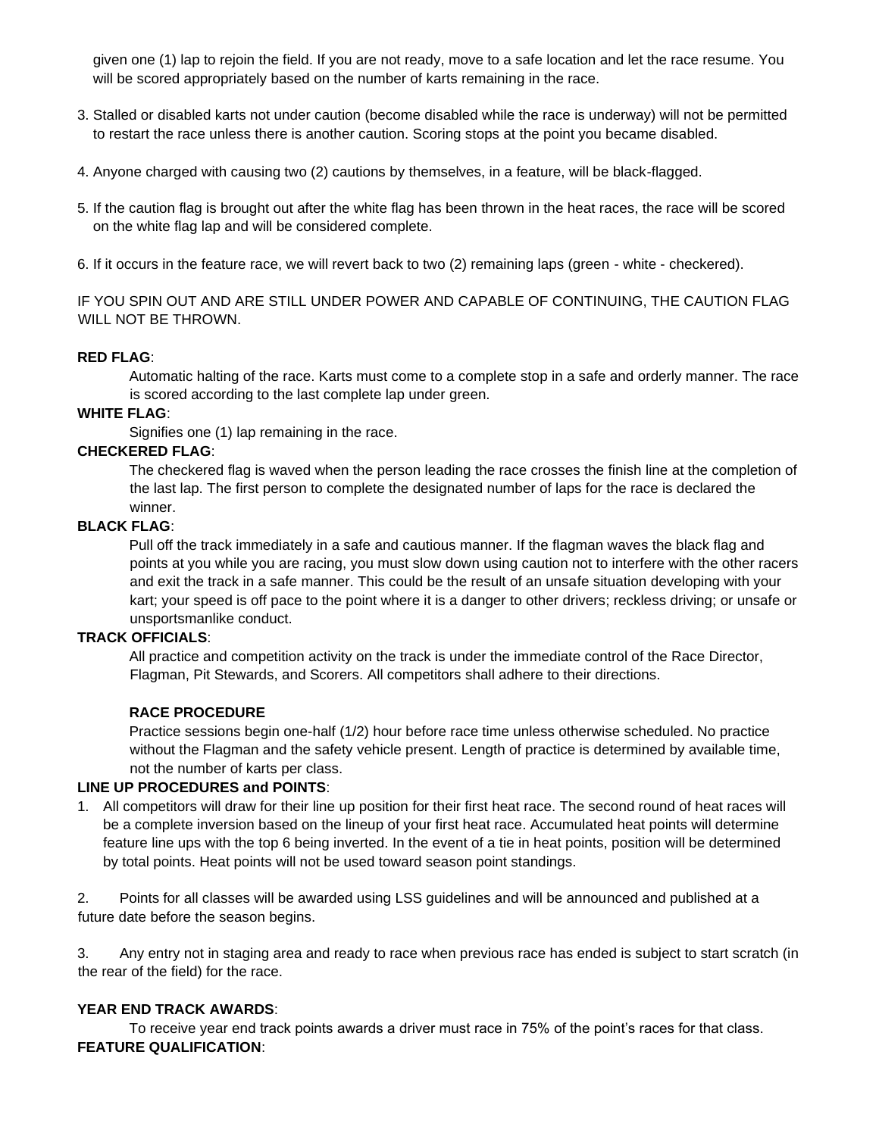given one (1) lap to rejoin the field. If you are not ready, move to a safe location and let the race resume. You will be scored appropriately based on the number of karts remaining in the race.

- 3. Stalled or disabled karts not under caution (become disabled while the race is underway) will not be permitted to restart the race unless there is another caution. Scoring stops at the point you became disabled.
- 4. Anyone charged with causing two (2) cautions by themselves, in a feature, will be black-flagged.
- 5. If the caution flag is brought out after the white flag has been thrown in the heat races, the race will be scored on the white flag lap and will be considered complete.
- 6. If it occurs in the feature race, we will revert back to two (2) remaining laps (green white checkered).

IF YOU SPIN OUT AND ARE STILL UNDER POWER AND CAPABLE OF CONTINUING, THE CAUTION FLAG WILL NOT BE THROWN.

## **RED FLAG**:

Automatic halting of the race. Karts must come to a complete stop in a safe and orderly manner. The race is scored according to the last complete lap under green.

## **WHITE FLAG**:

Signifies one (1) lap remaining in the race.

## **CHECKERED FLAG**:

The checkered flag is waved when the person leading the race crosses the finish line at the completion of the last lap. The first person to complete the designated number of laps for the race is declared the winner.

#### **BLACK FLAG**:

Pull off the track immediately in a safe and cautious manner. If the flagman waves the black flag and points at you while you are racing, you must slow down using caution not to interfere with the other racers and exit the track in a safe manner. This could be the result of an unsafe situation developing with your kart; your speed is off pace to the point where it is a danger to other drivers; reckless driving; or unsafe or unsportsmanlike conduct.

#### **TRACK OFFICIALS**:

All practice and competition activity on the track is under the immediate control of the Race Director, Flagman, Pit Stewards, and Scorers. All competitors shall adhere to their directions.

#### **RACE PROCEDURE**

Practice sessions begin one-half (1/2) hour before race time unless otherwise scheduled. No practice without the Flagman and the safety vehicle present. Length of practice is determined by available time, not the number of karts per class.

#### **LINE UP PROCEDURES and POINTS**:

1. All competitors will draw for their line up position for their first heat race. The second round of heat races will be a complete inversion based on the lineup of your first heat race. Accumulated heat points will determine feature line ups with the top 6 being inverted. In the event of a tie in heat points, position will be determined by total points. Heat points will not be used toward season point standings.

2. Points for all classes will be awarded using LSS guidelines and will be announced and published at a future date before the season begins.

3. Any entry not in staging area and ready to race when previous race has ended is subject to start scratch (in the rear of the field) for the race.

## **YEAR END TRACK AWARDS**:

To receive year end track points awards a driver must race in 75% of the point's races for that class. **FEATURE QUALIFICATION**: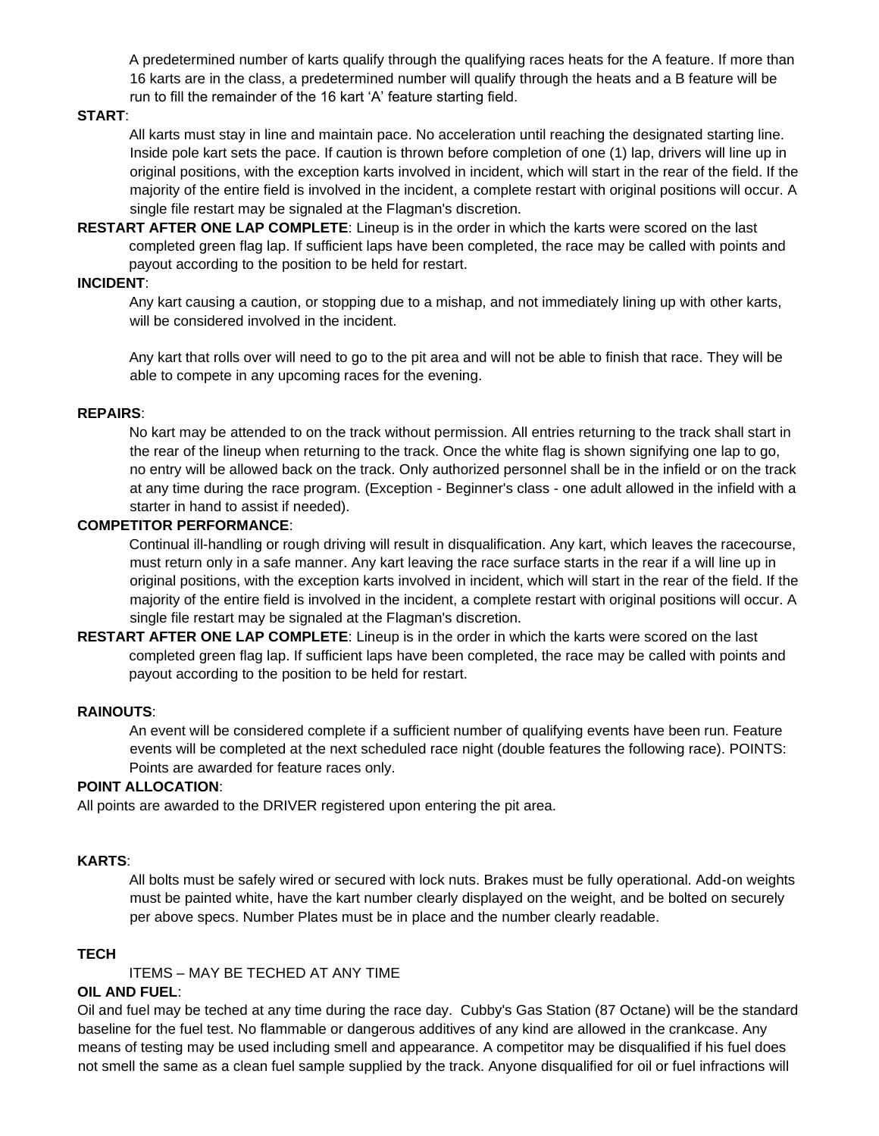A predetermined number of karts qualify through the qualifying races heats for the A feature. If more than 16 karts are in the class, a predetermined number will qualify through the heats and a B feature will be run to fill the remainder of the 16 kart 'A' feature starting field.

#### **START**:

All karts must stay in line and maintain pace. No acceleration until reaching the designated starting line. Inside pole kart sets the pace. If caution is thrown before completion of one (1) lap, drivers will line up in original positions, with the exception karts involved in incident, which will start in the rear of the field. If the majority of the entire field is involved in the incident, a complete restart with original positions will occur. A single file restart may be signaled at the Flagman's discretion.

**RESTART AFTER ONE LAP COMPLETE**: Lineup is in the order in which the karts were scored on the last completed green flag lap. If sufficient laps have been completed, the race may be called with points and payout according to the position to be held for restart.

## **INCIDENT**:

Any kart causing a caution, or stopping due to a mishap, and not immediately lining up with other karts, will be considered involved in the incident.

Any kart that rolls over will need to go to the pit area and will not be able to finish that race. They will be able to compete in any upcoming races for the evening.

#### **REPAIRS**:

No kart may be attended to on the track without permission. All entries returning to the track shall start in the rear of the lineup when returning to the track. Once the white flag is shown signifying one lap to go, no entry will be allowed back on the track. Only authorized personnel shall be in the infield or on the track at any time during the race program. (Exception - Beginner's class - one adult allowed in the infield with a starter in hand to assist if needed).

#### **COMPETITOR PERFORMANCE**:

Continual ill-handling or rough driving will result in disqualification. Any kart, which leaves the racecourse, must return only in a safe manner. Any kart leaving the race surface starts in the rear if a will line up in original positions, with the exception karts involved in incident, which will start in the rear of the field. If the majority of the entire field is involved in the incident, a complete restart with original positions will occur. A single file restart may be signaled at the Flagman's discretion.

**RESTART AFTER ONE LAP COMPLETE**: Lineup is in the order in which the karts were scored on the last completed green flag lap. If sufficient laps have been completed, the race may be called with points and payout according to the position to be held for restart.

#### **RAINOUTS**:

An event will be considered complete if a sufficient number of qualifying events have been run. Feature events will be completed at the next scheduled race night (double features the following race). POINTS: Points are awarded for feature races only.

#### **POINT ALLOCATION**:

All points are awarded to the DRIVER registered upon entering the pit area.

#### **KARTS**:

All bolts must be safely wired or secured with lock nuts. Brakes must be fully operational. Add-on weights must be painted white, have the kart number clearly displayed on the weight, and be bolted on securely per above specs. Number Plates must be in place and the number clearly readable.

#### **TECH**

ITEMS – MAY BE TECHED AT ANY TIME

#### **OIL AND FUEL**:

Oil and fuel may be teched at any time during the race day. Cubby's Gas Station (87 Octane) will be the standard baseline for the fuel test. No flammable or dangerous additives of any kind are allowed in the crankcase. Any means of testing may be used including smell and appearance. A competitor may be disqualified if his fuel does not smell the same as a clean fuel sample supplied by the track. Anyone disqualified for oil or fuel infractions will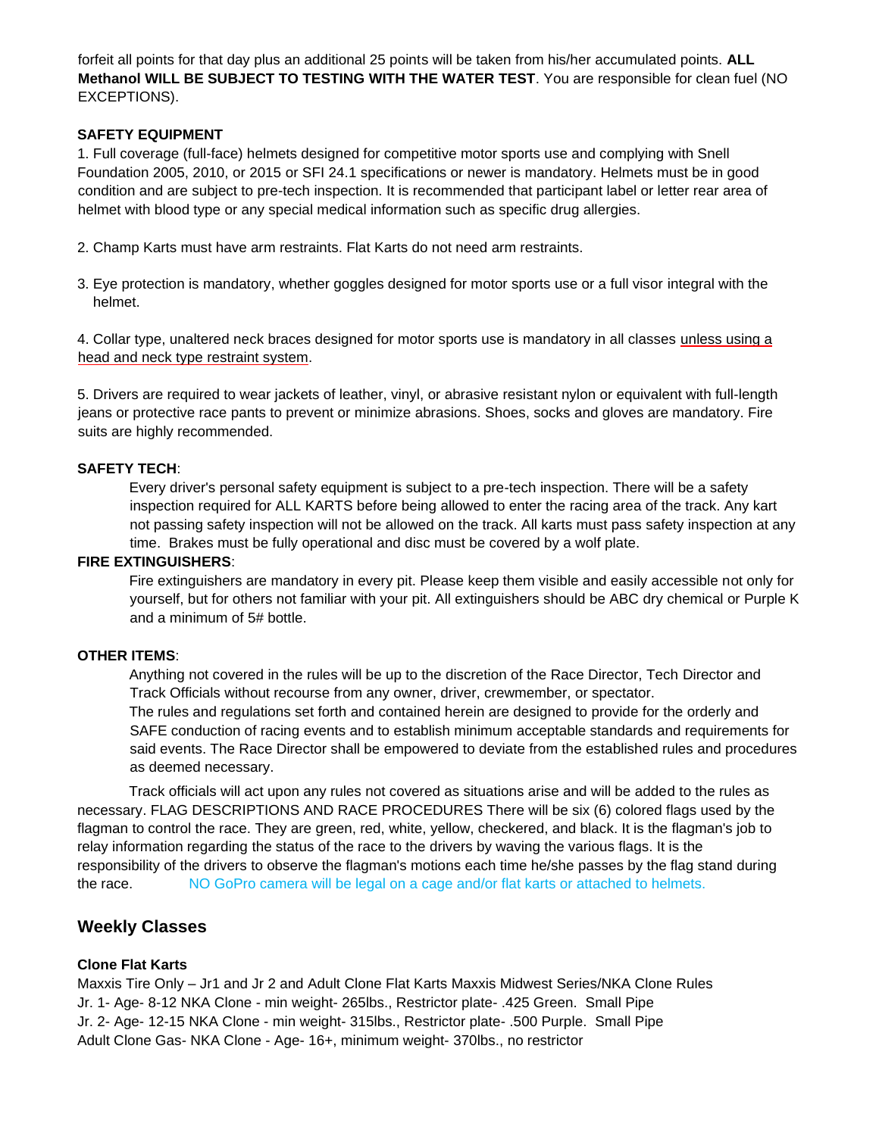forfeit all points for that day plus an additional 25 points will be taken from his/her accumulated points. **ALL Methanol WILL BE SUBJECT TO TESTING WITH THE WATER TEST**. You are responsible for clean fuel (NO EXCEPTIONS).

## **SAFETY EQUIPMENT**

1. Full coverage (full-face) helmets designed for competitive motor sports use and complying with Snell Foundation 2005, 2010, or 2015 or SFI 24.1 specifications or newer is mandatory. Helmets must be in good condition and are subject to pre-tech inspection. It is recommended that participant label or letter rear area of helmet with blood type or any special medical information such as specific drug allergies.

- 2. Champ Karts must have arm restraints. Flat Karts do not need arm restraints.
- 3. Eye protection is mandatory, whether goggles designed for motor sports use or a full visor integral with the helmet.

4. Collar type, unaltered neck braces designed for motor sports use is mandatory in all classes unless using a head and neck type restraint system.

5. Drivers are required to wear jackets of leather, vinyl, or abrasive resistant nylon or equivalent with full-length jeans or protective race pants to prevent or minimize abrasions. Shoes, socks and gloves are mandatory. Fire suits are highly recommended.

## **SAFETY TECH**:

Every driver's personal safety equipment is subject to a pre-tech inspection. There will be a safety inspection required for ALL KARTS before being allowed to enter the racing area of the track. Any kart not passing safety inspection will not be allowed on the track. All karts must pass safety inspection at any time. Brakes must be fully operational and disc must be covered by a wolf plate.

## **FIRE EXTINGUISHERS**:

Fire extinguishers are mandatory in every pit. Please keep them visible and easily accessible not only for yourself, but for others not familiar with your pit. All extinguishers should be ABC dry chemical or Purple K and a minimum of 5# bottle.

#### **OTHER ITEMS**:

Anything not covered in the rules will be up to the discretion of the Race Director, Tech Director and Track Officials without recourse from any owner, driver, crewmember, or spectator. The rules and regulations set forth and contained herein are designed to provide for the orderly and SAFE conduction of racing events and to establish minimum acceptable standards and requirements for said events. The Race Director shall be empowered to deviate from the established rules and procedures as deemed necessary.

Track officials will act upon any rules not covered as situations arise and will be added to the rules as necessary. FLAG DESCRIPTIONS AND RACE PROCEDURES There will be six (6) colored flags used by the flagman to control the race. They are green, red, white, yellow, checkered, and black. It is the flagman's job to relay information regarding the status of the race to the drivers by waving the various flags. It is the responsibility of the drivers to observe the flagman's motions each time he/she passes by the flag stand during the race. NO GoPro camera will be legal on a cage and/or flat karts or attached to helmets.

# **Weekly Classes**

## **Clone Flat Karts**

Maxxis Tire Only – Jr1 and Jr 2 and Adult Clone Flat Karts Maxxis Midwest Series/NKA Clone Rules Jr. 1- Age- 8-12 NKA Clone - min weight- 265lbs., Restrictor plate- .425 Green. Small Pipe Jr. 2- Age- 12-15 NKA Clone - min weight- 315lbs., Restrictor plate- .500 Purple. Small Pipe Adult Clone Gas- NKA Clone - Age- 16+, minimum weight- 370lbs., no restrictor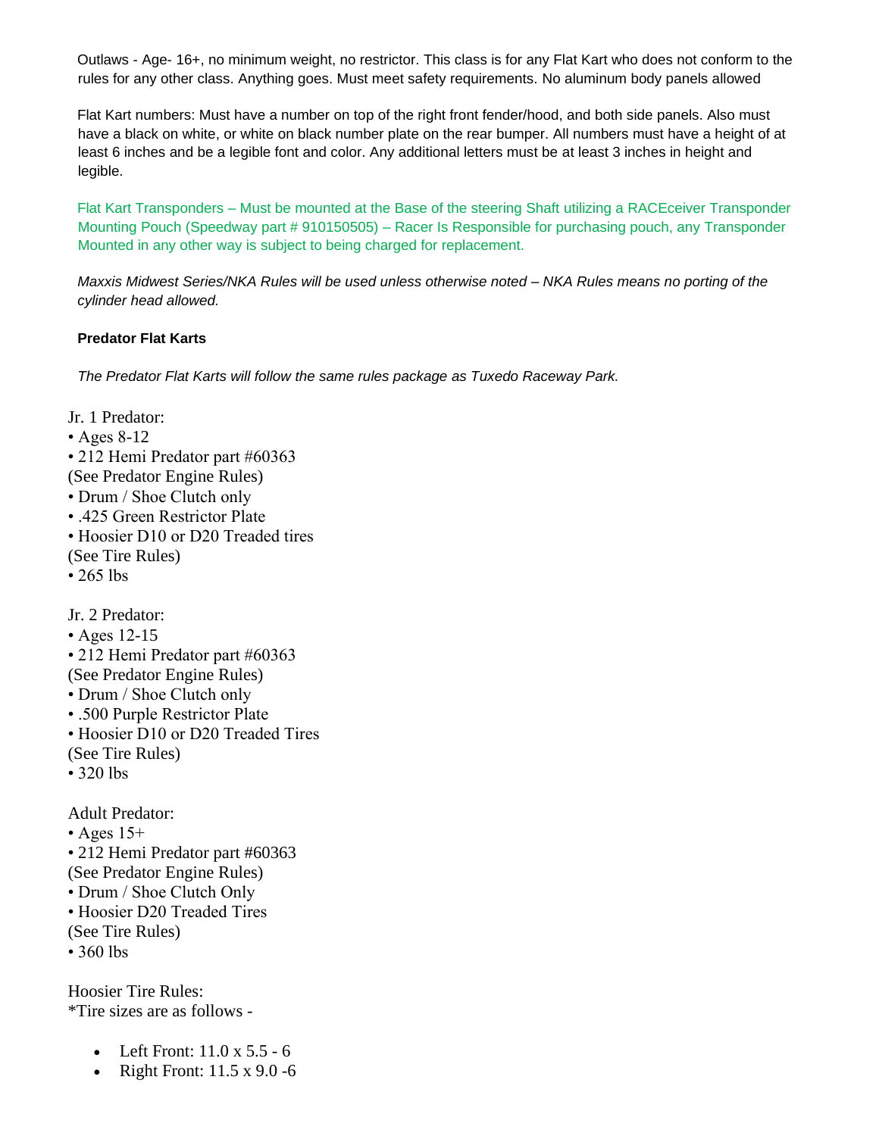Outlaws - Age- 16+, no minimum weight, no restrictor. This class is for any Flat Kart who does not conform to the rules for any other class. Anything goes. Must meet safety requirements. No aluminum body panels allowed

Flat Kart numbers: Must have a number on top of the right front fender/hood, and both side panels. Also must have a black on white, or white on black number plate on the rear bumper. All numbers must have a height of at least 6 inches and be a legible font and color. Any additional letters must be at least 3 inches in height and legible.

Flat Kart Transponders – Must be mounted at the Base of the steering Shaft utilizing a RACEceiver Transponder Mounting Pouch (Speedway part # 910150505) – Racer Is Responsible for purchasing pouch, any Transponder Mounted in any other way is subject to being charged for replacement.

*Maxxis Midwest Series/NKA Rules will be used unless otherwise noted – NKA Rules means no porting of the cylinder head allowed.* 

## **Predator Flat Karts**

*The Predator Flat Karts will follow the same rules package as Tuxedo Raceway Park.*

Jr. 1 Predator: • Ages 8-12 • 212 Hemi Predator part #60363 (See Predator Engine Rules) • Drum / Shoe Clutch only • .425 Green Restrictor Plate • Hoosier D10 or D20 Treaded tires (See Tire Rules) • 265 lbs Jr. 2 Predator: • Ages 12-15 • 212 Hemi Predator part #60363 (See Predator Engine Rules) • Drum / Shoe Clutch only • .500 Purple Restrictor Plate • Hoosier D10 or D20 Treaded Tires (See Tire Rules) • 320 lbs Adult Predator:  $\cdot$  Ages 15+ • 212 Hemi Predator part #60363 (See Predator Engine Rules) • Drum / Shoe Clutch Only • Hoosier D20 Treaded Tires (See Tire Rules) • 360 lbs Hoosier Tire Rules:

\*Tire sizes are as follows -

- Left Front:  $11.0 \times 5.5 6$
- Right Front:  $11.5 \times 9.0 6$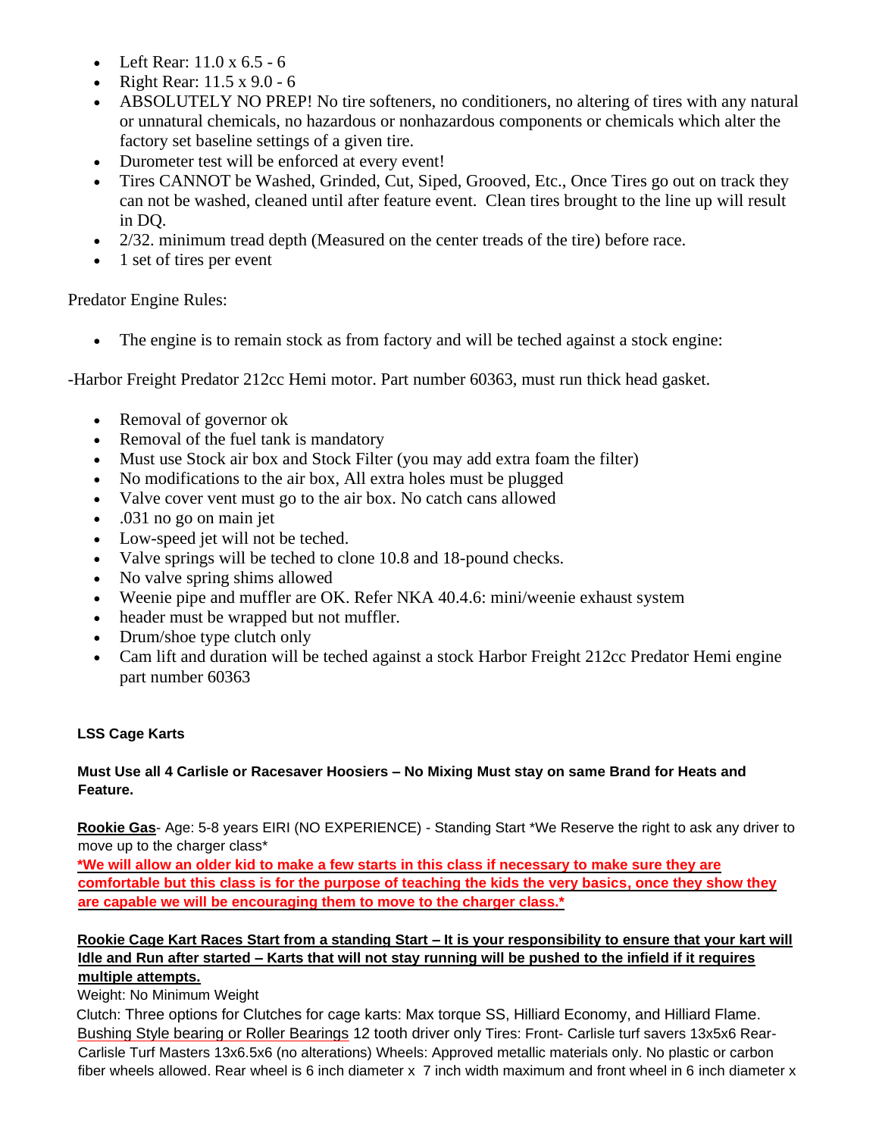- Left Rear: 11.0 x 6.5 6
- Right Rear:  $11.5 \times 9.0 6$
- ABSOLUTELY NO PREP! No tire softeners, no conditioners, no altering of tires with any natural or unnatural chemicals, no hazardous or nonhazardous components or chemicals which alter the factory set baseline settings of a given tire.
- Durometer test will be enforced at every event!
- Tires CANNOT be Washed, Grinded, Cut, Siped, Grooved, Etc., Once Tires go out on track they can not be washed, cleaned until after feature event. Clean tires brought to the line up will result in DQ.
- 2/32. minimum tread depth (Measured on the center treads of the tire) before race.
- 1 set of tires per event

Predator Engine Rules:

The engine is to remain stock as from factory and will be teched against a stock engine:

-Harbor Freight Predator 212cc Hemi motor. Part number 60363, must run thick head gasket.

- Removal of governor ok
- Removal of the fuel tank is mandatory
- Must use Stock air box and Stock Filter (you may add extra foam the filter)
- No modifications to the air box, All extra holes must be plugged
- Valve cover vent must go to the air box. No catch cans allowed
- .031 no go on main jet
- Low-speed jet will not be teched.
- Valve springs will be teched to clone 10.8 and 18-pound checks.
- No valve spring shims allowed
- Weenie pipe and muffler are OK. Refer NKA 40.4.6: mini/weenie exhaust system
- header must be wrapped but not muffler.
- Drum/shoe type clutch only
- Cam lift and duration will be teched against a stock Harbor Freight 212cc Predator Hemi engine part number 60363

# **LSS Cage Karts**

# **Must Use all 4 Carlisle or Racesaver Hoosiers – No Mixing Must stay on same Brand for Heats and Feature.**

**Rookie Gas**- Age: 5-8 years EIRI (NO EXPERIENCE) - Standing Start \*We Reserve the right to ask any driver to move up to the charger class\*

**\*We will allow an older kid to make a few starts in this class if necessary to make sure they are comfortable but this class is for the purpose of teaching the kids the very basics, once they show they are capable we will be encouraging them to move to the charger class.\***

# **Rookie Cage Kart Races Start from a standing Start – It is your responsibility to ensure that your kart will Idle and Run after started – Karts that will not stay running will be pushed to the infield if it requires multiple attempts.**

Weight: No Minimum Weight

Clutch: Three options for Clutches for cage karts: Max torque SS, Hilliard Economy, and Hilliard Flame. Bushing Style bearing or Roller Bearings 12 tooth driver only Tires: Front- Carlisle turf savers 13x5x6 Rear-Carlisle Turf Masters 13x6.5x6 (no alterations) Wheels: Approved metallic materials only. No plastic or carbon fiber wheels allowed. Rear wheel is 6 inch diameter x 7 inch width maximum and front wheel in 6 inch diameter x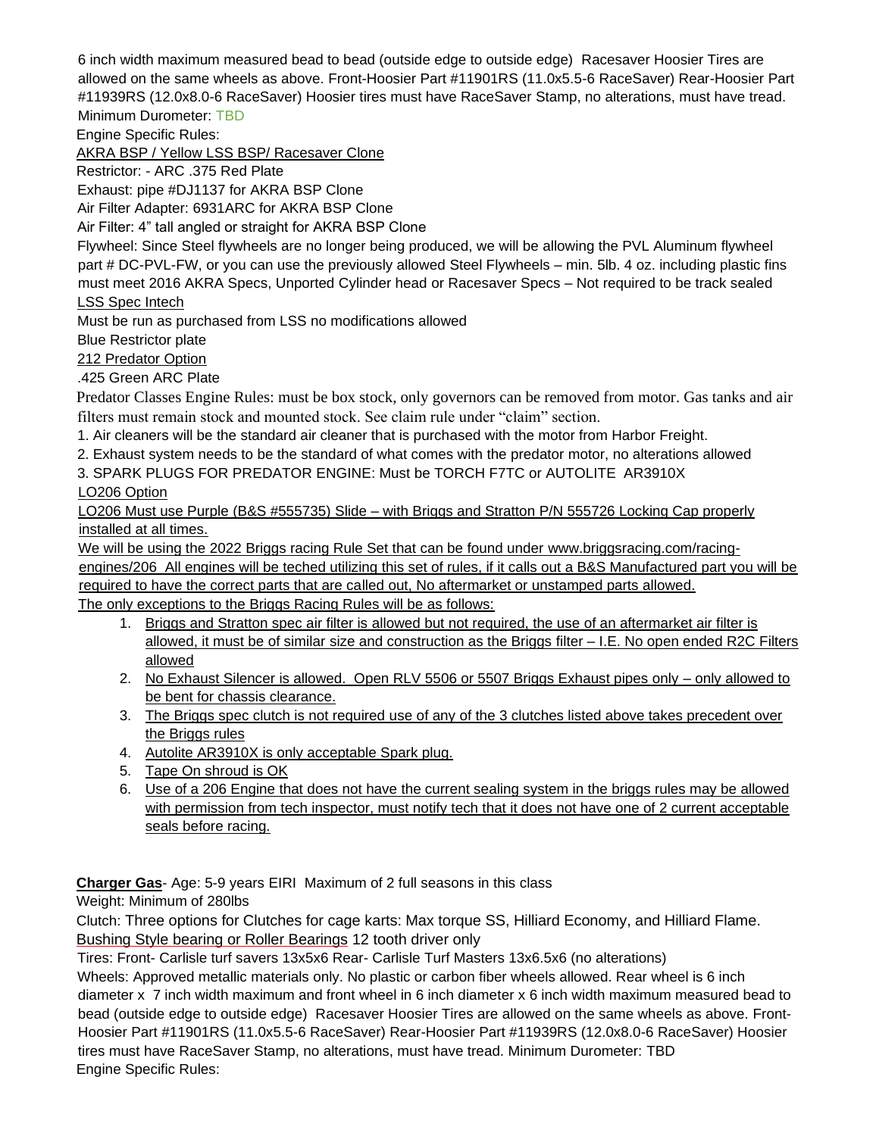6 inch width maximum measured bead to bead (outside edge to outside edge) Racesaver Hoosier Tires are allowed on the same wheels as above. Front-Hoosier Part #11901RS (11.0x5.5-6 RaceSaver) Rear-Hoosier Part #11939RS (12.0x8.0-6 RaceSaver) Hoosier tires must have RaceSaver Stamp, no alterations, must have tread. Minimum Durometer: TBD

Engine Specific Rules:

AKRA BSP / Yellow LSS BSP/ Racesaver Clone

Restrictor: - ARC .375 Red Plate

Exhaust: pipe #DJ1137 for AKRA BSP Clone

Air Filter Adapter: 6931ARC for AKRA BSP Clone

Air Filter: 4" tall angled or straight for AKRA BSP Clone

Flywheel: Since Steel flywheels are no longer being produced, we will be allowing the PVL Aluminum flywheel part # DC-PVL-FW, or you can use the previously allowed Steel Flywheels – min. 5lb. 4 oz. including plastic fins must meet 2016 AKRA Specs, Unported Cylinder head or Racesaver Specs – Not required to be track sealed LSS Spec Intech

Must be run as purchased from LSS no modifications allowed

Blue Restrictor plate

212 Predator Option

.425 Green ARC Plate

Predator Classes Engine Rules: must be box stock, only governors can be removed from motor. Gas tanks and air filters must remain stock and mounted stock. See claim rule under "claim" section.

1. Air cleaners will be the standard air cleaner that is purchased with the motor from Harbor Freight.

2. Exhaust system needs to be the standard of what comes with the predator motor, no alterations allowed

3. SPARK PLUGS FOR PREDATOR ENGINE: Must be TORCH F7TC or AUTOLITE AR3910X LO206 Option

LO206 Must use Purple (B&S #555735) Slide – with Briggs and Stratton P/N 555726 Locking Cap properly installed at all times.

We will be using the 2022 Briggs racing Rule Set that can be found under [www.briggsracing.com/racing-](http://www.briggsracing.com/racing-engines/206)

[engines/206](http://www.briggsracing.com/racing-engines/206) All engines will be teched utilizing this set of rules, if it calls out a B&S Manufactured part you will be required to have the correct parts that are called out, No aftermarket or unstamped parts allowed.

The only exceptions to the Briggs Racing Rules will be as follows:

- 1. Briggs and Stratton spec air filter is allowed but not required, the use of an aftermarket air filter is allowed, it must be of similar size and construction as the Briggs filter – I.E. No open ended R2C Filters allowed
- 2. No Exhaust Silencer is allowed. Open RLV 5506 or 5507 Briggs Exhaust pipes only only allowed to be bent for chassis clearance.
- 3. The Briggs spec clutch is not required use of any of the 3 clutches listed above takes precedent over the Briggs rules
- 4. Autolite AR3910X is only acceptable Spark plug.
- 5. Tape On shroud is OK
- 6. Use of a 206 Engine that does not have the current sealing system in the briggs rules may be allowed with permission from tech inspector, must notify tech that it does not have one of 2 current acceptable seals before racing.

**Charger Gas**- Age: 5-9 years EIRI Maximum of 2 full seasons in this class

Weight: Minimum of 280lbs

Clutch: Three options for Clutches for cage karts: Max torque SS, Hilliard Economy, and Hilliard Flame. Bushing Style bearing or Roller Bearings 12 tooth driver only

Tires: Front- Carlisle turf savers 13x5x6 Rear- Carlisle Turf Masters 13x6.5x6 (no alterations)

Wheels: Approved metallic materials only. No plastic or carbon fiber wheels allowed. Rear wheel is 6 inch diameter x 7 inch width maximum and front wheel in 6 inch diameter x 6 inch width maximum measured bead to bead (outside edge to outside edge) Racesaver Hoosier Tires are allowed on the same wheels as above. Front-Hoosier Part #11901RS (11.0x5.5-6 RaceSaver) Rear-Hoosier Part #11939RS (12.0x8.0-6 RaceSaver) Hoosier tires must have RaceSaver Stamp, no alterations, must have tread. Minimum Durometer: TBD Engine Specific Rules: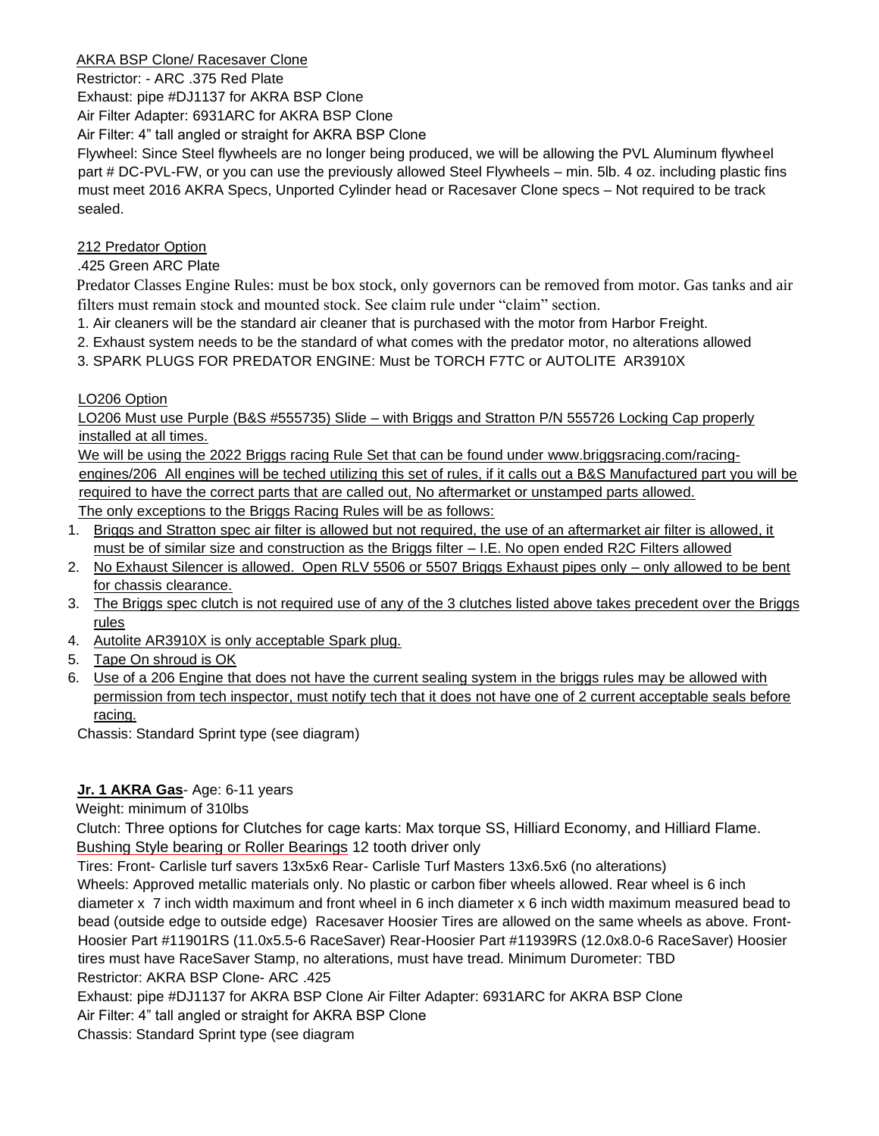## AKRA BSP Clone/ Racesaver Clone

Restrictor: - ARC .375 Red Plate

Exhaust: pipe #DJ1137 for AKRA BSP Clone

Air Filter Adapter: 6931ARC for AKRA BSP Clone Air Filter: 4" tall angled or straight for AKRA BSP Clone

Flywheel: Since Steel flywheels are no longer being produced, we will be allowing the PVL Aluminum flywheel part # DC-PVL-FW, or you can use the previously allowed Steel Flywheels – min. 5lb. 4 oz. including plastic fins must meet 2016 AKRA Specs, Unported Cylinder head or Racesaver Clone specs – Not required to be track sealed.

212 Predator Option

# .425 Green ARC Plate

Predator Classes Engine Rules: must be box stock, only governors can be removed from motor. Gas tanks and air filters must remain stock and mounted stock. See claim rule under "claim" section.

- 1. Air cleaners will be the standard air cleaner that is purchased with the motor from Harbor Freight.
- 2. Exhaust system needs to be the standard of what comes with the predator motor, no alterations allowed
- 3. SPARK PLUGS FOR PREDATOR ENGINE: Must be TORCH F7TC or AUTOLITE AR3910X

# LO206 Option

LO206 Must use Purple (B&S #555735) Slide – with Briggs and Stratton P/N 555726 Locking Cap properly installed at all times.

We will be using the 2022 Briggs racing Rule Set that can be found under [www.briggsracing.com/racing](http://www.briggsracing.com/racing-engines/206)[engines/206](http://www.briggsracing.com/racing-engines/206) All engines will be teched utilizing this set of rules, if it calls out a B&S Manufactured part you will be required to have the correct parts that are called out, No aftermarket or unstamped parts allowed. The only exceptions to the Briggs Racing Rules will be as follows:

1. Briggs and Stratton spec air filter is allowed but not required, the use of an aftermarket air filter is allowed, it must be of similar size and construction as the Briggs filter – I.E. No open ended R2C Filters allowed

- 2. No Exhaust Silencer is allowed. Open RLV 5506 or 5507 Briggs Exhaust pipes only only allowed to be bent for chassis clearance.
- 3. The Briggs spec clutch is not required use of any of the 3 clutches listed above takes precedent over the Briggs rules
- 4. Autolite AR3910X is only acceptable Spark plug.
- 5. Tape On shroud is OK
- 6. Use of a 206 Engine that does not have the current sealing system in the briggs rules may be allowed with permission from tech inspector, must notify tech that it does not have one of 2 current acceptable seals before racing.

Chassis: Standard Sprint type (see diagram)

# **Jr. 1 AKRA Gas**- Age: 6-11 years

Weight: minimum of 310lbs

Clutch: Three options for Clutches for cage karts: Max torque SS, Hilliard Economy, and Hilliard Flame. Bushing Style bearing or Roller Bearings 12 tooth driver only

Tires: Front- Carlisle turf savers 13x5x6 Rear- Carlisle Turf Masters 13x6.5x6 (no alterations)

Wheels: Approved metallic materials only. No plastic or carbon fiber wheels allowed. Rear wheel is 6 inch diameter x 7 inch width maximum and front wheel in 6 inch diameter x 6 inch width maximum measured bead to bead (outside edge to outside edge) Racesaver Hoosier Tires are allowed on the same wheels as above. Front-Hoosier Part #11901RS (11.0x5.5-6 RaceSaver) Rear-Hoosier Part #11939RS (12.0x8.0-6 RaceSaver) Hoosier tires must have RaceSaver Stamp, no alterations, must have tread. Minimum Durometer: TBD Restrictor: AKRA BSP Clone- ARC .425

Exhaust: pipe #DJ1137 for AKRA BSP Clone Air Filter Adapter: 6931ARC for AKRA BSP Clone Air Filter: 4" tall angled or straight for AKRA BSP Clone

Chassis: Standard Sprint type (see diagram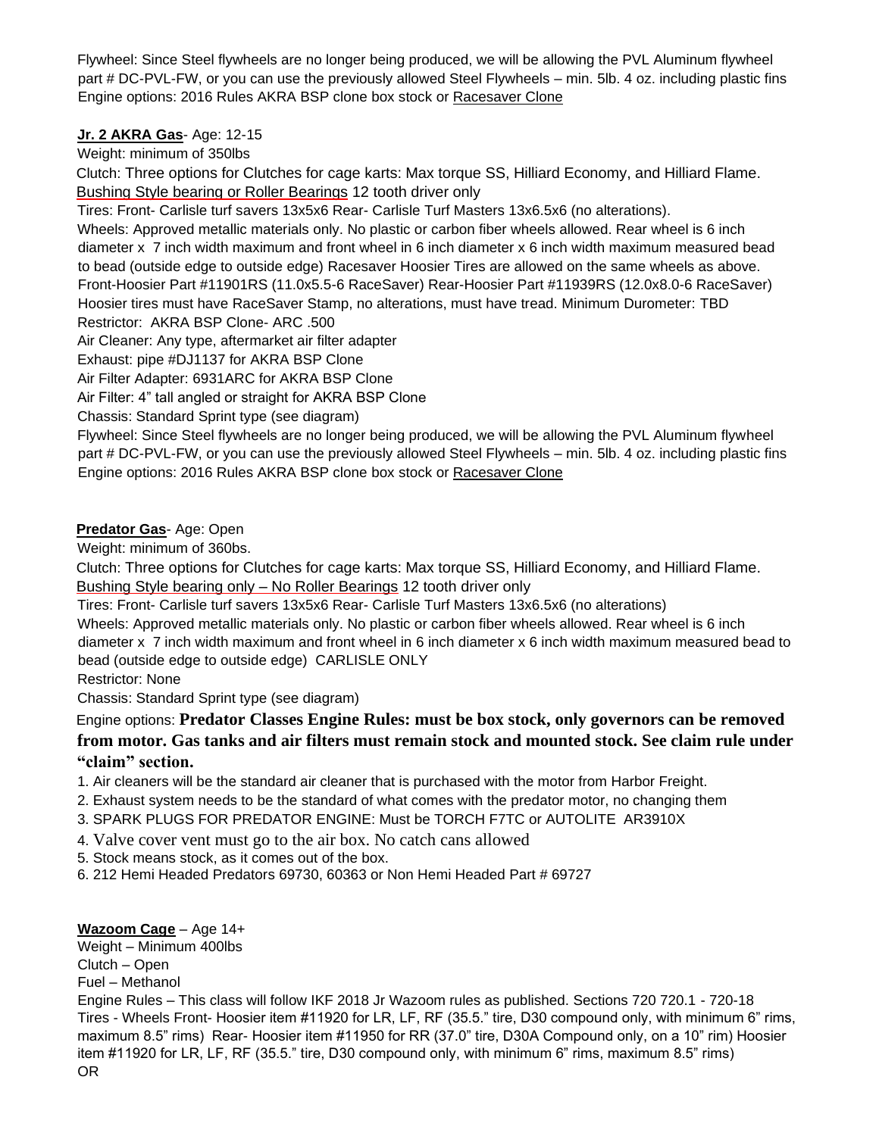Flywheel: Since Steel flywheels are no longer being produced, we will be allowing the PVL Aluminum flywheel part # DC-PVL-FW, or you can use the previously allowed Steel Flywheels – min. 5lb. 4 oz. including plastic fins Engine options: 2016 Rules AKRA BSP clone box stock or Racesaver Clone

# **Jr. 2 AKRA Gas**- Age: 12-15

Weight: minimum of 350lbs

Clutch: Three options for Clutches for cage karts: Max torque SS, Hilliard Economy, and Hilliard Flame. Bushing Style bearing or Roller Bearings 12 tooth driver only

Tires: Front- Carlisle turf savers 13x5x6 Rear- Carlisle Turf Masters 13x6.5x6 (no alterations).

Wheels: Approved metallic materials only. No plastic or carbon fiber wheels allowed. Rear wheel is 6 inch diameter x 7 inch width maximum and front wheel in 6 inch diameter x 6 inch width maximum measured bead to bead (outside edge to outside edge) Racesaver Hoosier Tires are allowed on the same wheels as above. Front-Hoosier Part #11901RS (11.0x5.5-6 RaceSaver) Rear-Hoosier Part #11939RS (12.0x8.0-6 RaceSaver) Hoosier tires must have RaceSaver Stamp, no alterations, must have tread. Minimum Durometer: TBD Restrictor: AKRA BSP Clone- ARC .500

Air Cleaner: Any type, aftermarket air filter adapter

Exhaust: pipe #DJ1137 for AKRA BSP Clone

Air Filter Adapter: 6931ARC for AKRA BSP Clone

Air Filter: 4" tall angled or straight for AKRA BSP Clone

Chassis: Standard Sprint type (see diagram)

Flywheel: Since Steel flywheels are no longer being produced, we will be allowing the PVL Aluminum flywheel part # DC-PVL-FW, or you can use the previously allowed Steel Flywheels – min. 5lb. 4 oz. including plastic fins Engine options: 2016 Rules AKRA BSP clone box stock or Racesaver Clone

# **Predator Gas**- Age: Open

Weight: minimum of 360bs.

Clutch: Three options for Clutches for cage karts: Max torque SS, Hilliard Economy, and Hilliard Flame. Bushing Style bearing only – No Roller Bearings 12 tooth driver only

Tires: Front- Carlisle turf savers 13x5x6 Rear- Carlisle Turf Masters 13x6.5x6 (no alterations)

Wheels: Approved metallic materials only. No plastic or carbon fiber wheels allowed. Rear wheel is 6 inch diameter x 7 inch width maximum and front wheel in 6 inch diameter x 6 inch width maximum measured bead to bead (outside edge to outside edge) CARLISLE ONLY

Restrictor: None

Chassis: Standard Sprint type (see diagram)

Engine options: **Predator Classes Engine Rules: must be box stock, only governors can be removed from motor. Gas tanks and air filters must remain stock and mounted stock. See claim rule under "claim" section.** 

1. Air cleaners will be the standard air cleaner that is purchased with the motor from Harbor Freight.

- 2. Exhaust system needs to be the standard of what comes with the predator motor, no changing them
- 3. SPARK PLUGS FOR PREDATOR ENGINE: Must be TORCH F7TC or AUTOLITE AR3910X

4. Valve cover vent must go to the air box. No catch cans allowed

5. Stock means stock, as it comes out of the box.

6. 212 Hemi Headed Predators 69730, 60363 or Non Hemi Headed Part # 69727

# **Wazoom Cage** – Age 14+

Weight – Minimum 400lbs Clutch – Open Fuel – Methanol Engine Rules – This class will follow IKF 2018 Jr Wazoom rules as published. Sections 720 720.1 - 720-18 Tires - Wheels Front- Hoosier item #11920 for LR, LF, RF (35.5." tire, D30 compound only, with minimum 6" rims, maximum 8.5" rims) Rear- Hoosier item #11950 for RR (37.0" tire, D30A Compound only, on a 10" rim) Hoosier item #11920 for LR, LF, RF (35.5." tire, D30 compound only, with minimum 6" rims, maximum 8.5" rims) OR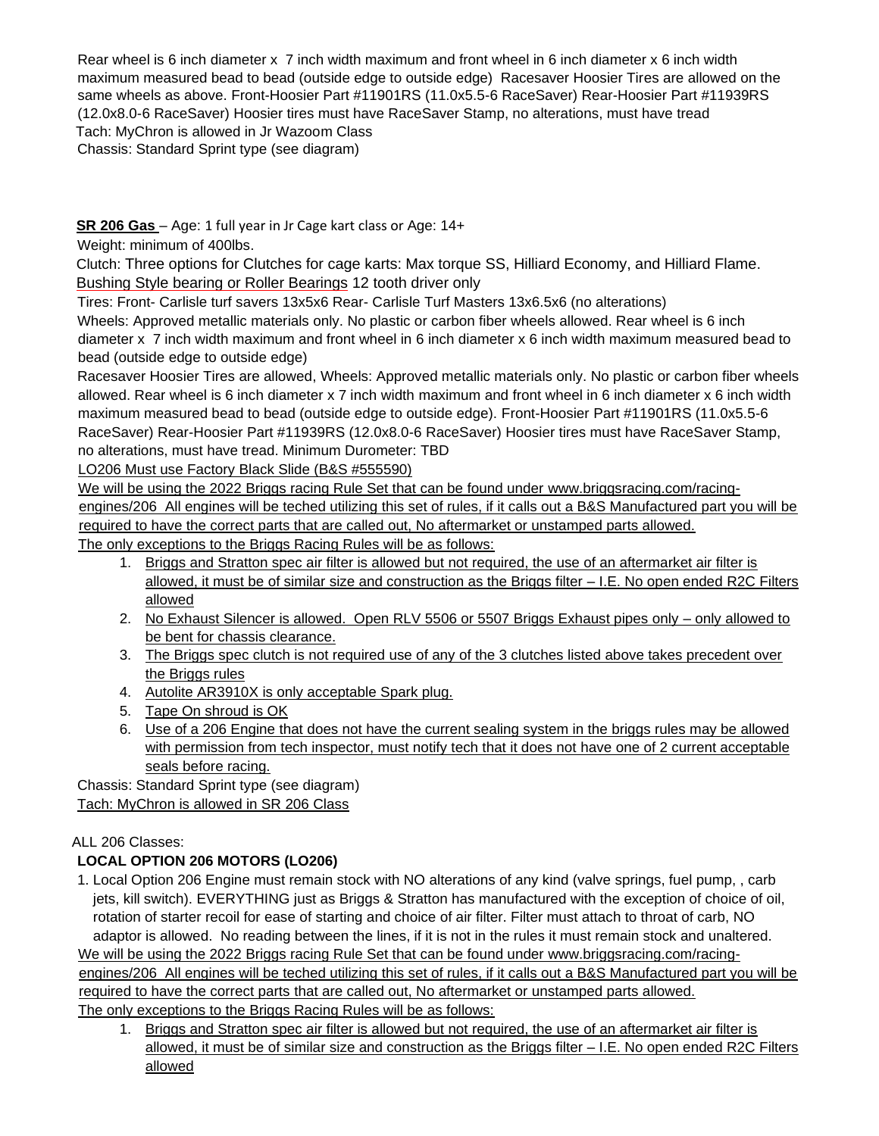Rear wheel is 6 inch diameter x 7 inch width maximum and front wheel in 6 inch diameter x 6 inch width maximum measured bead to bead (outside edge to outside edge) Racesaver Hoosier Tires are allowed on the same wheels as above. Front-Hoosier Part #11901RS (11.0x5.5-6 RaceSaver) Rear-Hoosier Part #11939RS (12.0x8.0-6 RaceSaver) Hoosier tires must have RaceSaver Stamp, no alterations, must have tread Tach: MyChron is allowed in Jr Wazoom Class

Chassis: Standard Sprint type (see diagram)

# **SR 206 Gas** – Age: 1 full year in Jr Cage kart class or Age: 14+

Weight: minimum of 400lbs.

Clutch: Three options for Clutches for cage karts: Max torque SS, Hilliard Economy, and Hilliard Flame. Bushing Style bearing or Roller Bearings 12 tooth driver only

Tires: Front- Carlisle turf savers 13x5x6 Rear- Carlisle Turf Masters 13x6.5x6 (no alterations)

Wheels: Approved metallic materials only. No plastic or carbon fiber wheels allowed. Rear wheel is 6 inch diameter x 7 inch width maximum and front wheel in 6 inch diameter x 6 inch width maximum measured bead to bead (outside edge to outside edge)

Racesaver Hoosier Tires are allowed, Wheels: Approved metallic materials only. No plastic or carbon fiber wheels allowed. Rear wheel is 6 inch diameter x 7 inch width maximum and front wheel in 6 inch diameter x 6 inch width maximum measured bead to bead (outside edge to outside edge). Front-Hoosier Part #11901RS (11.0x5.5-6 RaceSaver) Rear-Hoosier Part #11939RS (12.0x8.0-6 RaceSaver) Hoosier tires must have RaceSaver Stamp, no alterations, must have tread. Minimum Durometer: TBD

LO206 Must use Factory Black Slide (B&S #555590)

We will be using the 2022 Briggs racing Rule Set that can be found under [www.briggsracing.com/racing](http://www.briggsracing.com/racing-engines/206)[engines/206](http://www.briggsracing.com/racing-engines/206) All engines will be teched utilizing this set of rules, if it calls out a B&S Manufactured part you will be required to have the correct parts that are called out, No aftermarket or unstamped parts allowed. The only exceptions to the Briggs Racing Rules will be as follows:

- 1. Briggs and Stratton spec air filter is allowed but not required, the use of an aftermarket air filter is allowed, it must be of similar size and construction as the Briggs filter – I.E. No open ended R2C Filters allowed
- 2. No Exhaust Silencer is allowed. Open RLV 5506 or 5507 Briggs Exhaust pipes only only allowed to be bent for chassis clearance.
- 3. The Briggs spec clutch is not required use of any of the 3 clutches listed above takes precedent over the Briggs rules
- 4. Autolite AR3910X is only acceptable Spark plug.
- 5. Tape On shroud is OK
- 6. Use of a 206 Engine that does not have the current sealing system in the briggs rules may be allowed with permission from tech inspector, must notify tech that it does not have one of 2 current acceptable seals before racing.

Chassis: Standard Sprint type (see diagram) Tach: MyChron is allowed in SR 206 Class

# ALL 206 Classes:

# **LOCAL OPTION 206 MOTORS (LO206)**

1. Local Option 206 Engine must remain stock with NO alterations of any kind (valve springs, fuel pump, , carb jets, kill switch). EVERYTHING just as Briggs & Stratton has manufactured with the exception of choice of oil, rotation of starter recoil for ease of starting and choice of air filter. Filter must attach to throat of carb, NO adaptor is allowed. No reading between the lines, if it is not in the rules it must remain stock and unaltered.

We will be using the 2022 Briggs racing Rule Set that can be found under [www.briggsracing.com/racing](http://www.briggsracing.com/racing-engines/206)[engines/206](http://www.briggsracing.com/racing-engines/206) All engines will be teched utilizing this set of rules, if it calls out a B&S Manufactured part you will be required to have the correct parts that are called out, No aftermarket or unstamped parts allowed. The only exceptions to the Briggs Racing Rules will be as follows:

1. Briggs and Stratton spec air filter is allowed but not required, the use of an aftermarket air filter is allowed, it must be of similar size and construction as the Briggs filter – I.E. No open ended R2C Filters allowed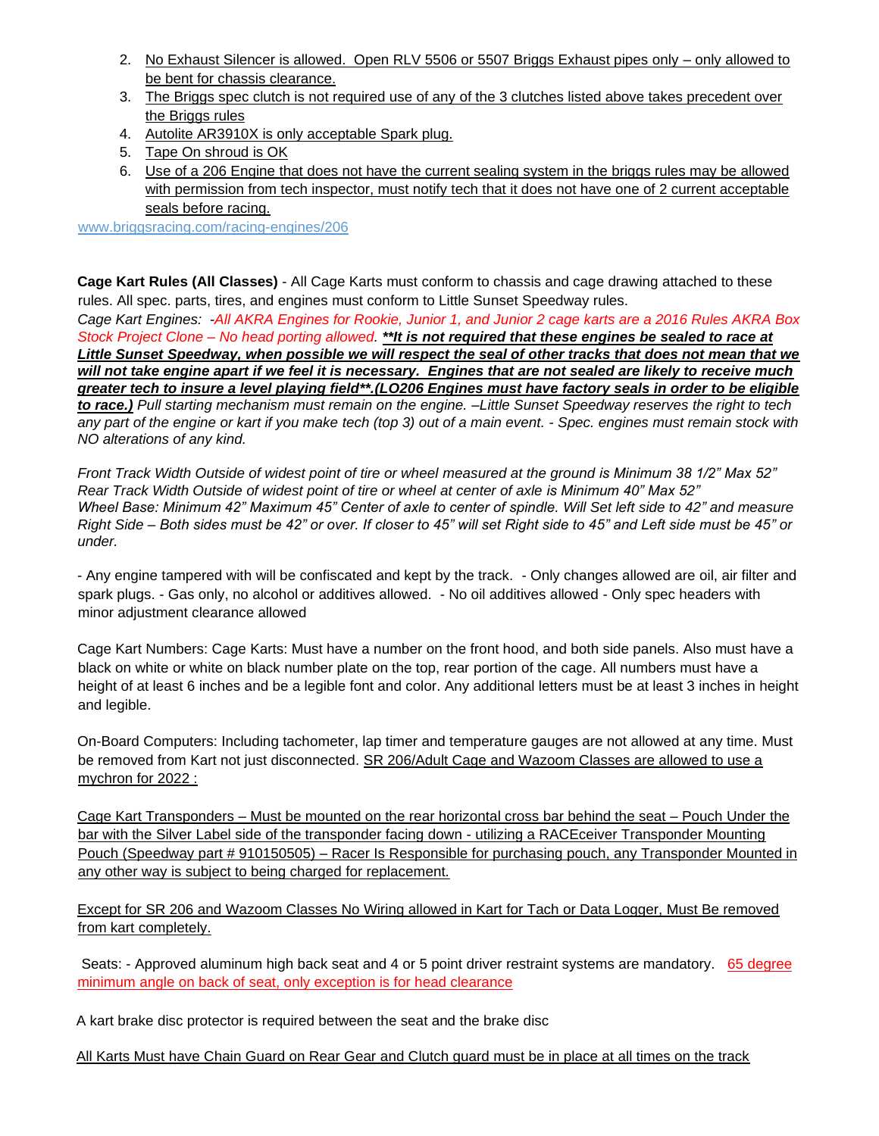- 2. No Exhaust Silencer is allowed. Open RLV 5506 or 5507 Briggs Exhaust pipes only only allowed to be bent for chassis clearance.
- 3. The Briggs spec clutch is not required use of any of the 3 clutches listed above takes precedent over the Briggs rules
- 4. Autolite AR3910X is only acceptable Spark plug.
- 5. Tape On shroud is OK
- 6. Use of a 206 Engine that does not have the current sealing system in the briggs rules may be allowed with permission from tech inspector, must notify tech that it does not have one of 2 current acceptable seals before racing.

[www.briggsracing.com/racing-engines/206](http://www.briggsracing.com/racing-engines/206) 

**Cage Kart Rules (All Classes)** - All Cage Karts must conform to chassis and cage drawing attached to these rules. All spec. parts, tires, and engines must conform to Little Sunset Speedway rules.

*Cage Kart Engines: -All AKRA Engines for Rookie, Junior 1, and Junior 2 cage karts are a 2016 Rules AKRA Box Stock Project Clone – No head porting allowed. \*\*It is not required that these engines be sealed to race at Little Sunset Speedway, when possible we will respect the seal of other tracks that does not mean that we will not take engine apart if we feel it is necessary. Engines that are not sealed are likely to receive much greater tech to insure a level playing field\*\*.(LO206 Engines must have factory seals in order to be eligible to race.) Pull starting mechanism must remain on the engine. –Little Sunset Speedway reserves the right to tech any part of the engine or kart if you make tech (top 3) out of a main event. - Spec. engines must remain stock with NO alterations of any kind.* 

*Front Track Width Outside of widest point of tire or wheel measured at the ground is Minimum 38 1/2" Max 52" Rear Track Width Outside of widest point of tire or wheel at center of axle is Minimum 40" Max 52" Wheel Base: Minimum 42" Maximum 45" Center of axle to center of spindle. Will Set left side to 42" and measure Right Side – Both sides must be 42" or over. If closer to 45" will set Right side to 45" and Left side must be 45" or under.*

- Any engine tampered with will be confiscated and kept by the track. - Only changes allowed are oil, air filter and spark plugs. - Gas only, no alcohol or additives allowed. - No oil additives allowed - Only spec headers with minor adjustment clearance allowed

Cage Kart Numbers: Cage Karts: Must have a number on the front hood, and both side panels. Also must have a black on white or white on black number plate on the top, rear portion of the cage. All numbers must have a height of at least 6 inches and be a legible font and color. Any additional letters must be at least 3 inches in height and legible.

On-Board Computers: Including tachometer, lap timer and temperature gauges are not allowed at any time. Must be removed from Kart not just disconnected. SR 206/Adult Cage and Wazoom Classes are allowed to use a mychron for 2022 :

Cage Kart Transponders – Must be mounted on the rear horizontal cross bar behind the seat – Pouch Under the bar with the Silver Label side of the transponder facing down - utilizing a RACEceiver Transponder Mounting Pouch (Speedway part # 910150505) – Racer Is Responsible for purchasing pouch, any Transponder Mounted in any other way is subject to being charged for replacement.

Except for SR 206 and Wazoom Classes No Wiring allowed in Kart for Tach or Data Logger, Must Be removed from kart completely.

Seats: - Approved aluminum high back seat and 4 or 5 point driver restraint systems are mandatory. 65 degree minimum angle on back of seat, only exception is for head clearance

A kart brake disc protector is required between the seat and the brake disc

All Karts Must have Chain Guard on Rear Gear and Clutch guard must be in place at all times on the track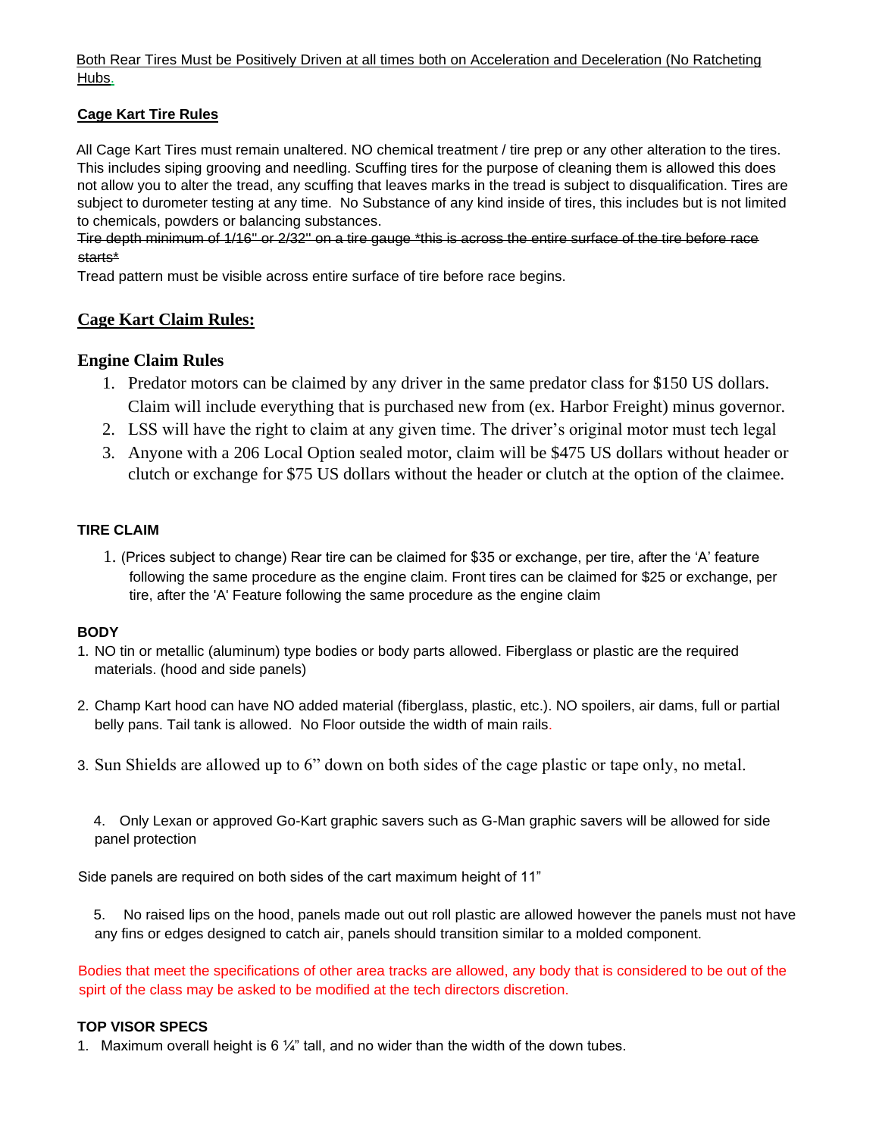Both Rear Tires Must be Positively Driven at all times both on Acceleration and Deceleration (No Ratcheting Hubs.

# **Cage Kart Tire Rules**

All Cage Kart Tires must remain unaltered. NO chemical treatment / tire prep or any other alteration to the tires. This includes siping grooving and needling. Scuffing tires for the purpose of cleaning them is allowed this does not allow you to alter the tread, any scuffing that leaves marks in the tread is subject to disqualification. Tires are subject to durometer testing at any time. No Substance of any kind inside of tires, this includes but is not limited to chemicals, powders or balancing substances.

Tire depth minimum of 1/16'' or 2/32'' on a tire gauge \*this is across the entire surface of the tire before race starts\*

Tread pattern must be visible across entire surface of tire before race begins.

# **Cage Kart Claim Rules:**

# **Engine Claim Rules**

- 1. Predator motors can be claimed by any driver in the same predator class for \$150 US dollars. Claim will include everything that is purchased new from (ex. Harbor Freight) minus governor.
- 2. LSS will have the right to claim at any given time. The driver's original motor must tech legal
- 3. Anyone with a 206 Local Option sealed motor, claim will be \$475 US dollars without header or clutch or exchange for \$75 US dollars without the header or clutch at the option of the claimee.

## **TIRE CLAIM**

1. (Prices subject to change) Rear tire can be claimed for \$35 or exchange, per tire, after the 'A' feature following the same procedure as the engine claim. Front tires can be claimed for \$25 or exchange, per tire, after the 'A' Feature following the same procedure as the engine claim

## **BODY**

- 1. NO tin or metallic (aluminum) type bodies or body parts allowed. Fiberglass or plastic are the required materials. (hood and side panels)
- 2. Champ Kart hood can have NO added material (fiberglass, plastic, etc.). NO spoilers, air dams, full or partial belly pans. Tail tank is allowed. No Floor outside the width of main rails.
- 3. Sun Shields are allowed up to 6" down on both sides of the cage plastic or tape only, no metal.

4. Only Lexan or approved Go-Kart graphic savers such as G-Man graphic savers will be allowed for side panel protection

Side panels are required on both sides of the cart maximum height of 11"

5. No raised lips on the hood, panels made out out roll plastic are allowed however the panels must not have any fins or edges designed to catch air, panels should transition similar to a molded component.

Bodies that meet the specifications of other area tracks are allowed, any body that is considered to be out of the spirt of the class may be asked to be modified at the tech directors discretion.

## **TOP VISOR SPECS**

1. Maximum overall height is 6  $\frac{1}{4}$ " tall, and no wider than the width of the down tubes.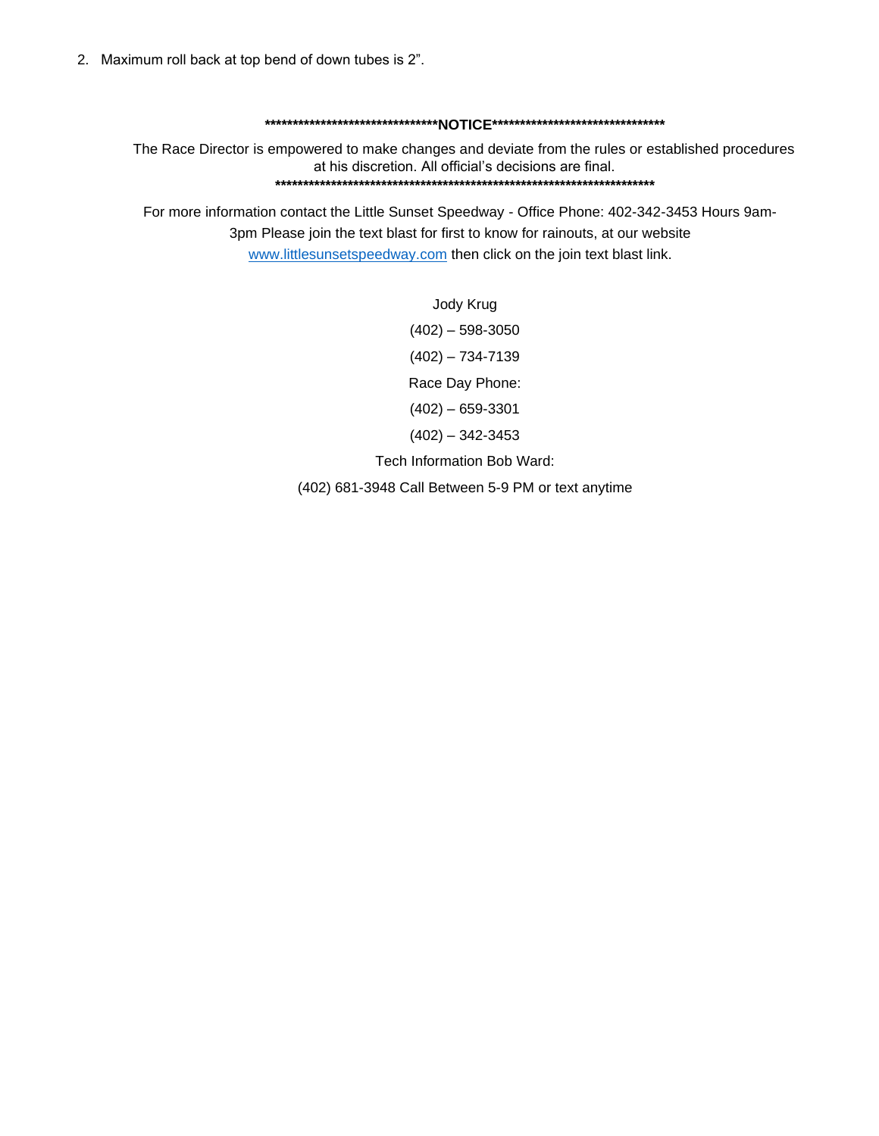#### **\*\*\*\*\*\*\*\*\*\*\*\*\*\*\*\*\*\*\*\*\*\*\*\*\*\*\*\*\*\*\*NOTICE\*\*\*\*\*\*\*\*\*\*\*\*\*\*\*\*\*\*\*\*\*\*\*\*\*\*\*\*\*\*\***

The Race Director is empowered to make changes and deviate from the rules or established procedures at his discretion. All official's decisions are final. **\*\*\*\*\*\*\*\*\*\*\*\*\*\*\*\*\*\*\*\*\*\*\*\*\*\*\*\*\*\*\*\*\*\*\*\*\*\*\*\*\*\*\*\*\*\*\*\*\*\*\*\*\*\*\*\*\*\*\*\*\*\*\*\*\*\*\*\*** 

For more information contact the Little Sunset Speedway - Office Phone: 402-342-3453 Hours 9am-3pm Please join the text blast for first to know for rainouts, at our website [www.littlesunsetspeedway.com](http://www.littlesunsetspeedway.com/) then click on the join text blast link.

> Jody Krug (402) – 598-3050  $(402) - 734 - 7139$ Race Day Phone: (402) – 659-3301  $(402) - 342 - 3453$ Tech Information Bob Ward:

(402) 681-3948 Call Between 5-9 PM or text anytime